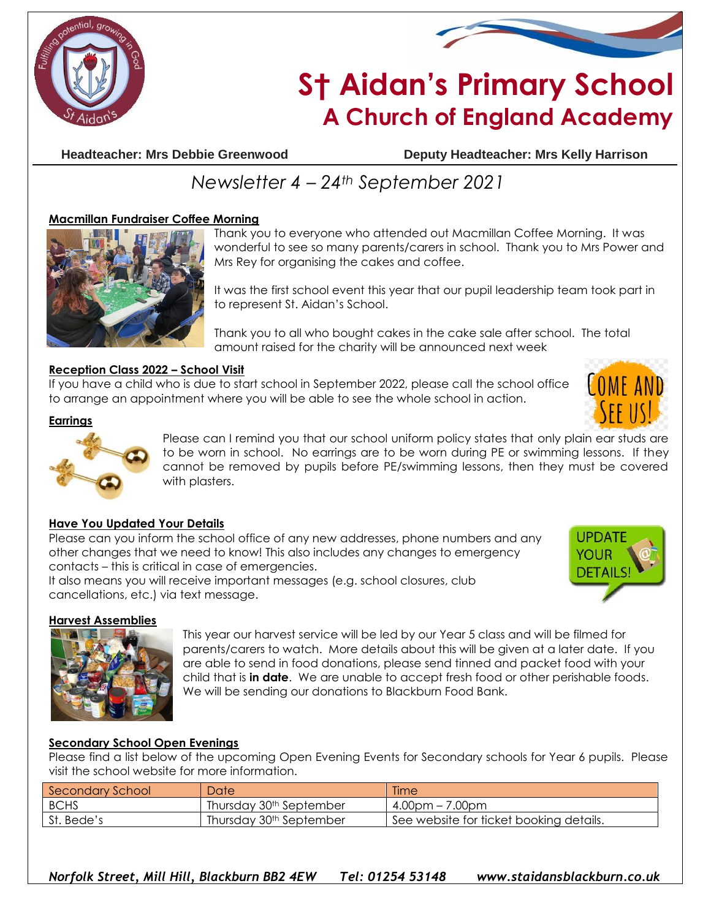



## **S† Aidan's Primary School A Church of England Academy**

**Headteacher: Mrs Debbie Greenwood Deputy Headteacher: Mrs Kelly Harrison**

### *Newsletter 4 – 24th September 2021*

#### **Macmillan Fundraiser Coffee Morning**



Thank you to everyone who attended out Macmillan Coffee Morning. It was wonderful to see so many parents/carers in school. Thank you to Mrs Power and Mrs Rey for organising the cakes and coffee.

It was the first school event this year that our pupil leadership team took part in to represent St. Aidan's School.

Thank you to all who bought cakes in the cake sale after school. The total amount raised for the charity will be announced next week

#### **Reception Class 2022 – School Visit**

If you have a child who is due to start school in September 2022, please call the school office to arrange an appointment where you will be able to see the whole school in action.



#### **Earrings**



Please can I remind you that our school uniform policy states that only plain ear studs are to be worn in school. No earrings are to be worn during PE or swimming lessons. If they cannot be removed by pupils before PE/swimming lessons, then they must be covered with plasters.

#### **Have You Updated Your Details**

Please can you inform the school office of any new addresses, phone numbers and any other changes that we need to know! This also includes any changes to emergency contacts – this is critical in case of emergencies.

It also means you will receive important messages (e.g. school closures, club cancellations, etc.) via text message.



#### **Harvest Assemblies**



This year our harvest service will be led by our Year 5 class and will be filmed for parents/carers to watch. More details about this will be given at a later date. If you are able to send in food donations, please send tinned and packet food with your child that is **in date**. We are unable to accept fresh food or other perishable foods. We will be sending our donations to Blackburn Food Bank.

#### **Secondary School Open Evenings**

Please find a list below of the upcoming Open Evening Events for Secondary schools for Year 6 pupils. Please visit the school website for more information.

| Secondary School | Date                                | <b>Time</b>                             |
|------------------|-------------------------------------|-----------------------------------------|
| <b>BCHS</b>      | Thursday 30 <sup>th</sup> September | $4.00$ pm – 7.00pm                      |
| St. Bede's       | Thursday 30 <sup>th</sup> September | See website for ticket booking details. |

*Norfolk Street, Mill Hill, Blackburn BB2 4EW Tel: 01254 53148 www.staidansblackburn.co.uk*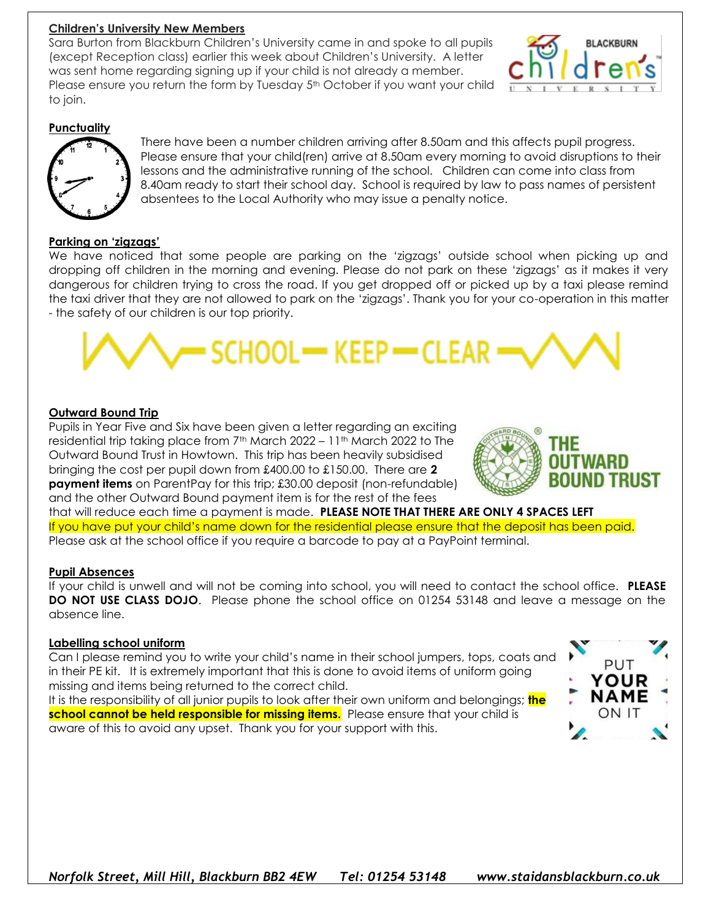#### **Children's University New Members**

Sara Burton from Blackburn Children's University came in and spoke to all pupils (except Reception class) earlier this week about Children's University. A letter was sent home regarding signing up if your child is not already a member. Please ensure you return the form by Tuesday 5<sup>th</sup> October if you want your child to join.



#### **Punctuality**



There have been a number children arriving after 8.50am and this affects pupil progress. Please ensure that your child(ren) arrive at 8.50am every morning to avoid disruptions to their lessons and the administrative running of the school. Children can come into class from 8.40am ready to start their school day. School is required by law to pass names of persistent absentees to the Local Authority who may issue a penalty notice.

#### **Parking on 'zigzags'**

We have noticed that some people are parking on the 'zigzags' outside school when picking up and dropping off children in the morning and evening. Please do not park on these 'zigzags' as it makes it very dangerous for children trying to cross the road. If you get dropped off or picked up by a taxi please remind the taxi driver that they are not allowed to park on the 'zigzags'. Thank you for your co-operation in this matter - the safety of our children is our top priority.

# · SCHOOL− KEEP ← CLEA

#### **Outward Bound Trip**

Pupils in Year Five and Six have been given a letter regarding an exciting residential trip taking place from  $7<sup>th</sup>$  March 2022 – 11<sup>th</sup> March 2022 to The Outward Bound Trust in Howtown. This trip has been heavily subsidised bringing the cost per pupil down from £400.00 to £150.00. There are **2 payment items** on ParentPay for this trip; £30.00 deposit (non-refundable) and the other Outward Bound payment item is for the rest of the fees



that will reduce each time a payment is made. **PLEASE NOTE THAT THERE ARE ONLY 4 SPACES LEFT** If you have put your child's name down for the residential please ensure that the deposit has been paid. Please ask at the school office if you require a barcode to pay at a PayPoint terminal.

#### **Pupil Absences**

If your child is unwell and will not be coming into school, you will need to contact the school office. **PLEASE DO NOT USE CLASS DOJO.** Please phone the school office on 01254 53148 and leave a message on the absence line.

#### **Labelling school uniform**

Can I please remind you to write your child's name in their school jumpers, tops, coats and in their PE kit. It is extremely important that this is done to avoid items of uniform going missing and items being returned to the correct child.

It is the responsibility of all junior pupils to look after their own uniform and belongings; **the school cannot be held responsible for missing items.** Please ensure that your child is aware of this to avoid any upset. Thank you for your support with this.

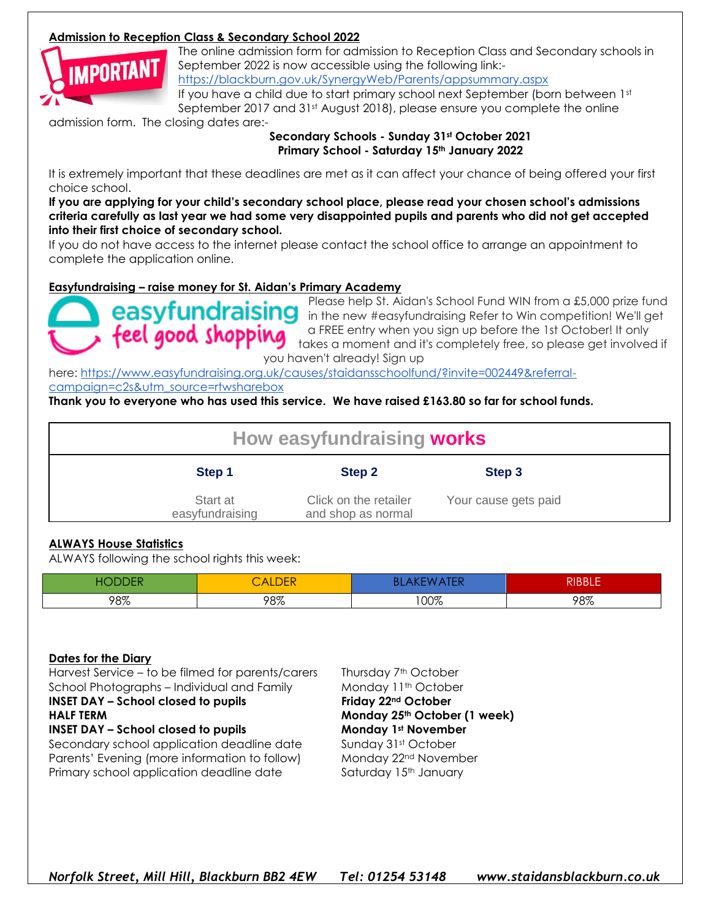#### **Admission to Reception Class & Secondary School 2022**



The online admission form for admission to Reception Class and Secondary schools in September 2022 is now accessible using the following link:-

<https://blackburn.gov.uk/SynergyWeb/Parents/appsummary.aspx>

If you have a child due to start primary school next September (born between 1st September 2017 and 31st August 2018), please ensure you complete the online

admission form. The closing dates are:-

#### **Secondary Schools - Sunday 31st October 2021 Primary School - Saturday 15th January 2022**

It is extremely important that these deadlines are met as it can affect your chance of being offered your first choice school.

**If you are applying for your child's secondary school place, please read your chosen school's admissions criteria carefully as last year we had some very disappointed pupils and parents who did not get accepted into their first choice of secondary school.**

If you do not have access to the internet please contact the school office to arrange an appointment to complete the application online.

#### **Easyfundraising – raise money for St. Aidan's Primary Academy**



Please help St. Aidan's School Fund WIN from a £5,000 prize fund **easyfundraising** the new #easyfundraising Refer to Win competition! We'll get a FREE entry when you sign up before the 1st October! It only takes a moment and it's completely free, so please get involved if you haven't already! Sign up

here: [https://www.easyfundraising.org.uk/causes/staidansschoolfund/?invite=002449&referral](https://www.easyfundraising.org.uk/causes/staidansschoolfund/?invite=002449&referral-campaign=c2s&utm_source=rtwsharebox)[campaign=c2s&utm\\_source=rtwsharebox](https://www.easyfundraising.org.uk/causes/staidansschoolfund/?invite=002449&referral-campaign=c2s&utm_source=rtwsharebox)

**Thank you to everyone who has used this service. We have raised £163.80 so far for school funds.**

| How easyfundraising works   |                                             |                      |  |  |
|-----------------------------|---------------------------------------------|----------------------|--|--|
| Step 1                      | Step 2                                      | Step 3               |  |  |
| Start at<br>easyfundraising | Click on the retailer<br>and shop as normal | Your cause gets paid |  |  |

#### **ALWAYS House Statistics**

ALWAYS following the school rights this week:

| --  | ∸   |             | ים וממותי<br>- 11<br>NDDLL |
|-----|-----|-------------|----------------------------|
| 98% | 98% | ∩∩ത<br>UU70 | 98%                        |

#### **Dates for the Diary**

Harvest Service – to be filmed for parents/carers Thursday 7<sup>th</sup> October School Photographs – Individual and Family Monday 11<sup>th</sup> October

#### **INSET DAY – School closed to pupils Friday 22nd October**

#### **INSET DAY – School closed to pupils Monday 1st November**

Secondary school application deadline date Sunday 31st October Parents' Evening (more information to follow) Monday 22<sup>nd</sup> November Primary school application deadline date Saturday 15<sup>th</sup> January

**HALF TERM Monday 25th October (1 week)**